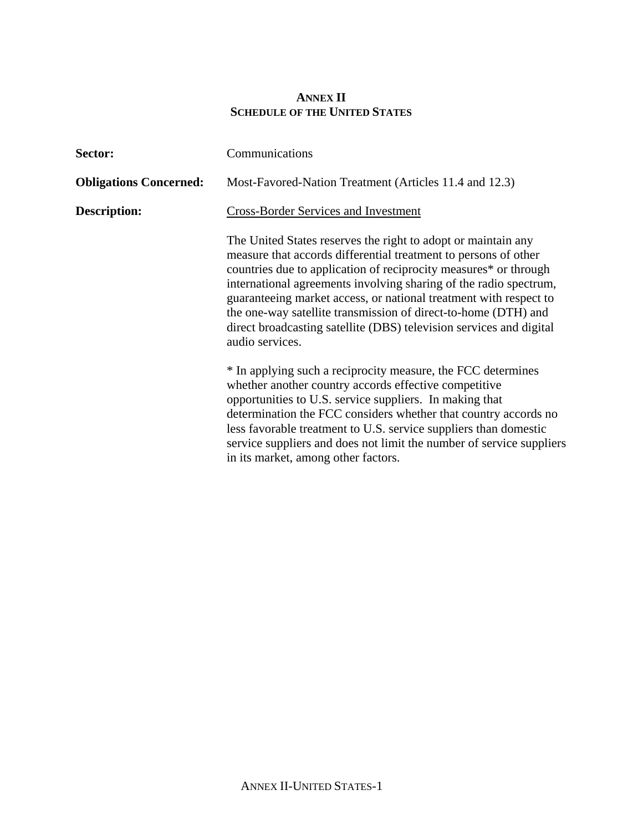## **ANNEX II SCHEDULE OF THE UNITED STATES**

| Sector:                       | Communications                                                                                                                                                                                                                                                                                                                                                                                                                                                                                             |  |
|-------------------------------|------------------------------------------------------------------------------------------------------------------------------------------------------------------------------------------------------------------------------------------------------------------------------------------------------------------------------------------------------------------------------------------------------------------------------------------------------------------------------------------------------------|--|
| <b>Obligations Concerned:</b> | Most-Favored-Nation Treatment (Articles 11.4 and 12.3)                                                                                                                                                                                                                                                                                                                                                                                                                                                     |  |
| Description:                  | <b>Cross-Border Services and Investment</b>                                                                                                                                                                                                                                                                                                                                                                                                                                                                |  |
|                               | The United States reserves the right to adopt or maintain any<br>measure that accords differential treatment to persons of other<br>countries due to application of reciprocity measures* or through<br>international agreements involving sharing of the radio spectrum,<br>guaranteeing market access, or national treatment with respect to<br>the one-way satellite transmission of direct-to-home (DTH) and<br>direct broadcasting satellite (DBS) television services and digital<br>audio services. |  |
|                               | * In applying such a reciprocity measure, the FCC determines<br>whether another country accords effective competitive<br>opportunities to U.S. service suppliers. In making that<br>determination the FCC considers whether that country accords no<br>less favorable treatment to U.S. service suppliers than domestic<br>service suppliers and does not limit the number of service suppliers<br>in its market, among other factors.                                                                     |  |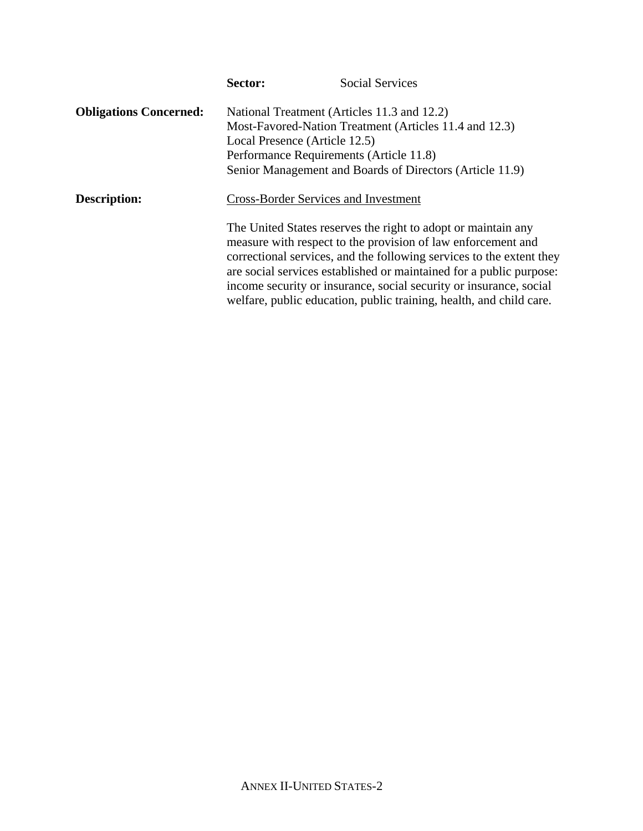|                               | Sector: | <b>Social Services</b>                                                                                                                                                                                                                                                                                                                             |
|-------------------------------|---------|----------------------------------------------------------------------------------------------------------------------------------------------------------------------------------------------------------------------------------------------------------------------------------------------------------------------------------------------------|
| <b>Obligations Concerned:</b> |         | National Treatment (Articles 11.3 and 12.2)                                                                                                                                                                                                                                                                                                        |
|                               |         | Most-Favored-Nation Treatment (Articles 11.4 and 12.3)                                                                                                                                                                                                                                                                                             |
|                               |         | Local Presence (Article 12.5)                                                                                                                                                                                                                                                                                                                      |
|                               |         | Performance Requirements (Article 11.8)                                                                                                                                                                                                                                                                                                            |
|                               |         | Senior Management and Boards of Directors (Article 11.9)                                                                                                                                                                                                                                                                                           |
| <b>Description:</b>           |         | <b>Cross-Border Services and Investment</b>                                                                                                                                                                                                                                                                                                        |
|                               |         | The United States reserves the right to adopt or maintain any<br>measure with respect to the provision of law enforcement and<br>correctional services, and the following services to the extent they<br>are social services established or maintained for a public purpose:<br>income security or insurance, social security or insurance, social |
|                               |         | welfare, public education, public training, health, and child care.                                                                                                                                                                                                                                                                                |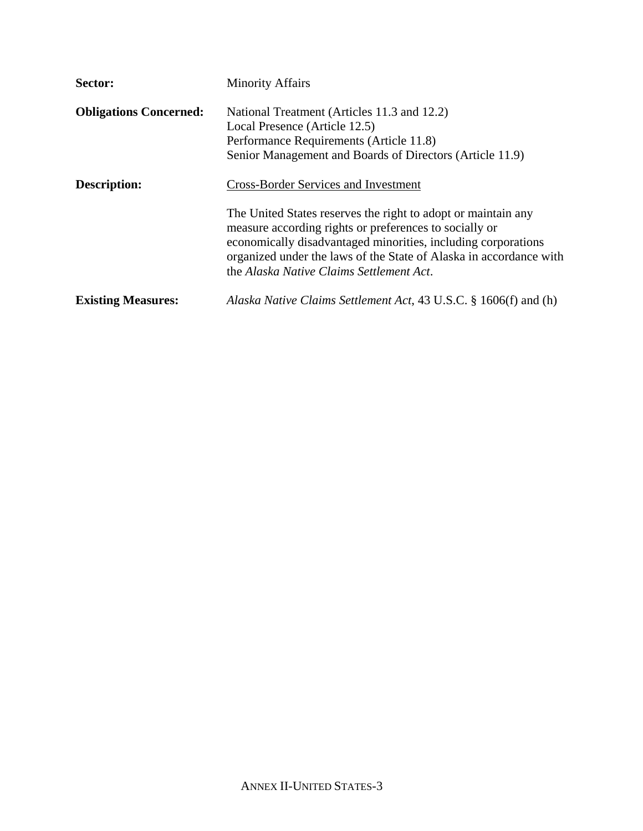| Sector:                       | <b>Minority Affairs</b>                                                                                                                                                                                                                                                                                    |
|-------------------------------|------------------------------------------------------------------------------------------------------------------------------------------------------------------------------------------------------------------------------------------------------------------------------------------------------------|
| <b>Obligations Concerned:</b> | National Treatment (Articles 11.3 and 12.2)<br>Local Presence (Article 12.5)<br>Performance Requirements (Article 11.8)<br>Senior Management and Boards of Directors (Article 11.9)                                                                                                                        |
| Description:                  | <b>Cross-Border Services and Investment</b>                                                                                                                                                                                                                                                                |
|                               | The United States reserves the right to adopt or maintain any<br>measure according rights or preferences to socially or<br>economically disadvantaged minorities, including corporations<br>organized under the laws of the State of Alaska in accordance with<br>the Alaska Native Claims Settlement Act. |
| <b>Existing Measures:</b>     | Alaska Native Claims Settlement Act, 43 U.S.C. § 1606(f) and (h)                                                                                                                                                                                                                                           |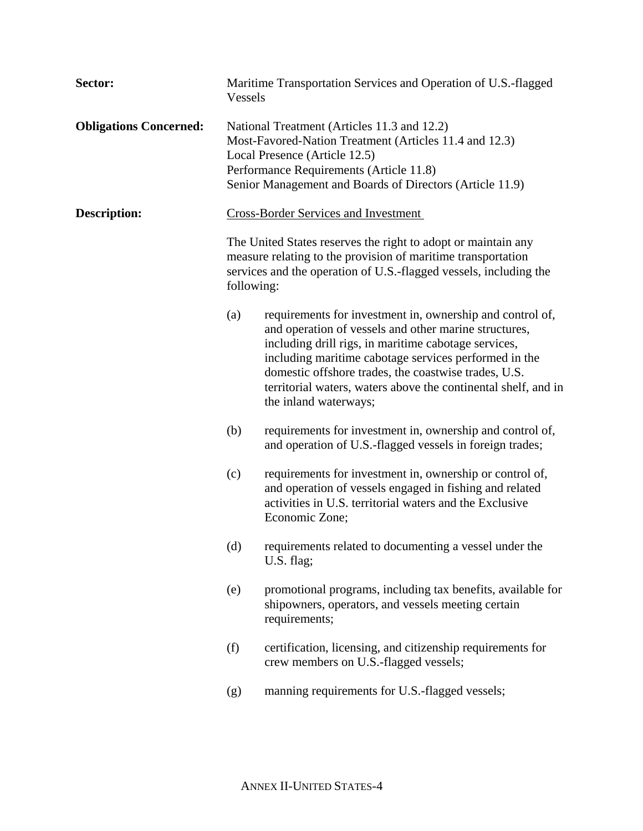| Sector:                       | Vessels    | Maritime Transportation Services and Operation of U.S.-flagged                                                                                                                                                                                                                                                                                                                         |
|-------------------------------|------------|----------------------------------------------------------------------------------------------------------------------------------------------------------------------------------------------------------------------------------------------------------------------------------------------------------------------------------------------------------------------------------------|
| <b>Obligations Concerned:</b> |            | National Treatment (Articles 11.3 and 12.2)<br>Most-Favored-Nation Treatment (Articles 11.4 and 12.3)<br>Local Presence (Article 12.5)<br>Performance Requirements (Article 11.8)<br>Senior Management and Boards of Directors (Article 11.9)                                                                                                                                          |
| <b>Description:</b>           |            | <b>Cross-Border Services and Investment</b>                                                                                                                                                                                                                                                                                                                                            |
|                               | following: | The United States reserves the right to adopt or maintain any<br>measure relating to the provision of maritime transportation<br>services and the operation of U.S.-flagged vessels, including the                                                                                                                                                                                     |
|                               | (a)        | requirements for investment in, ownership and control of,<br>and operation of vessels and other marine structures,<br>including drill rigs, in maritime cabotage services,<br>including maritime cabotage services performed in the<br>domestic offshore trades, the coastwise trades, U.S.<br>territorial waters, waters above the continental shelf, and in<br>the inland waterways; |
|                               | (b)        | requirements for investment in, ownership and control of,<br>and operation of U.S.-flagged vessels in foreign trades;                                                                                                                                                                                                                                                                  |
|                               | (c)        | requirements for investment in, ownership or control of,<br>and operation of vessels engaged in fishing and related<br>activities in U.S. territorial waters and the Exclusive<br>Economic Zone;                                                                                                                                                                                       |
|                               |            | (d) requirements related to documenting a vessel under the<br>U.S. flag;                                                                                                                                                                                                                                                                                                               |
|                               | (e)        | promotional programs, including tax benefits, available for<br>shipowners, operators, and vessels meeting certain<br>requirements;                                                                                                                                                                                                                                                     |
|                               | (f)        | certification, licensing, and citizenship requirements for<br>crew members on U.S.-flagged vessels;                                                                                                                                                                                                                                                                                    |
|                               | (g)        | manning requirements for U.S.-flagged vessels;                                                                                                                                                                                                                                                                                                                                         |
|                               |            |                                                                                                                                                                                                                                                                                                                                                                                        |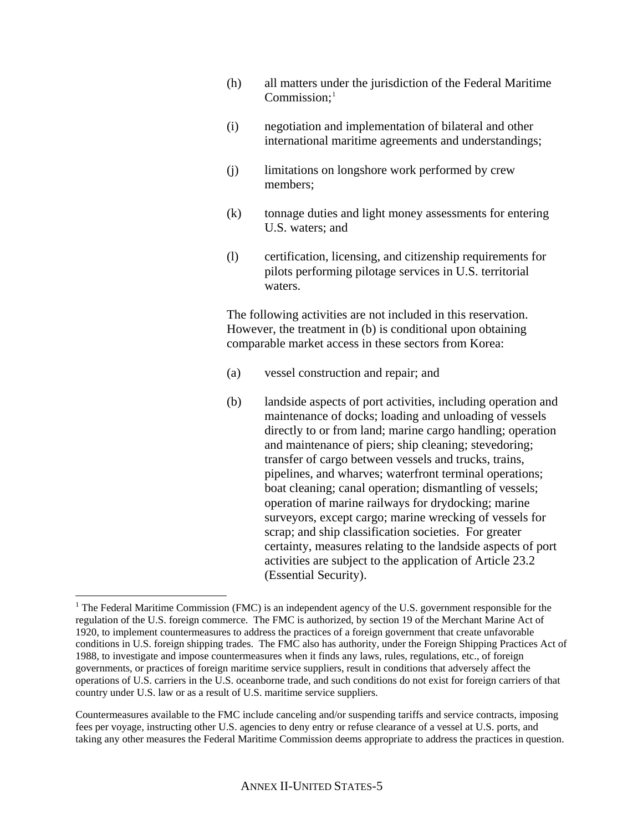- (h) all matters under the jurisdiction of the Federal Maritime  $Common:$ <sup>[1](#page-4-0)</sup>
- (i) negotiation and implementation of bilateral and other international maritime agreements and understandings;
- (j) limitations on longshore work performed by crew members;
- (k) tonnage duties and light money assessments for entering U.S. waters; and
- (l) certification, licensing, and citizenship requirements for pilots performing pilotage services in U.S. territorial waters.

 The following activities are not included in this reservation. However, the treatment in (b) is conditional upon obtaining comparable market access in these sectors from Korea:

- (a) vessel construction and repair; and
- (b) landside aspects of port activities, including operation and maintenance of docks; loading and unloading of vessels directly to or from land; marine cargo handling; operation and maintenance of piers; ship cleaning; stevedoring; transfer of cargo between vessels and trucks, trains, pipelines, and wharves; waterfront terminal operations; boat cleaning; canal operation; dismantling of vessels; operation of marine railways for drydocking; marine surveyors, except cargo; marine wrecking of vessels for scrap; and ship classification societies. For greater certainty, measures relating to the landside aspects of port activities are subject to the application of Article 23.2 (Essential Security).

 $\overline{a}$ 

<span id="page-4-0"></span><sup>&</sup>lt;sup>1</sup> The Federal Maritime Commission (FMC) is an independent agency of the U.S. government responsible for the regulation of the U.S. foreign commerce. The FMC is authorized, by section 19 of the Merchant Marine Act of 1920, to implement countermeasures to address the practices of a foreign government that create unfavorable conditions in U.S. foreign shipping trades. The FMC also has authority, under the Foreign Shipping Practices Act of 1988, to investigate and impose countermeasures when it finds any laws, rules, regulations, etc., of foreign governments, or practices of foreign maritime service suppliers, result in conditions that adversely affect the operations of U.S. carriers in the U.S. oceanborne trade, and such conditions do not exist for foreign carriers of that country under U.S. law or as a result of U.S. maritime service suppliers.

Countermeasures available to the FMC include canceling and/or suspending tariffs and service contracts, imposing fees per voyage, instructing other U.S. agencies to deny entry or refuse clearance of a vessel at U.S. ports, and taking any other measures the Federal Maritime Commission deems appropriate to address the practices in question.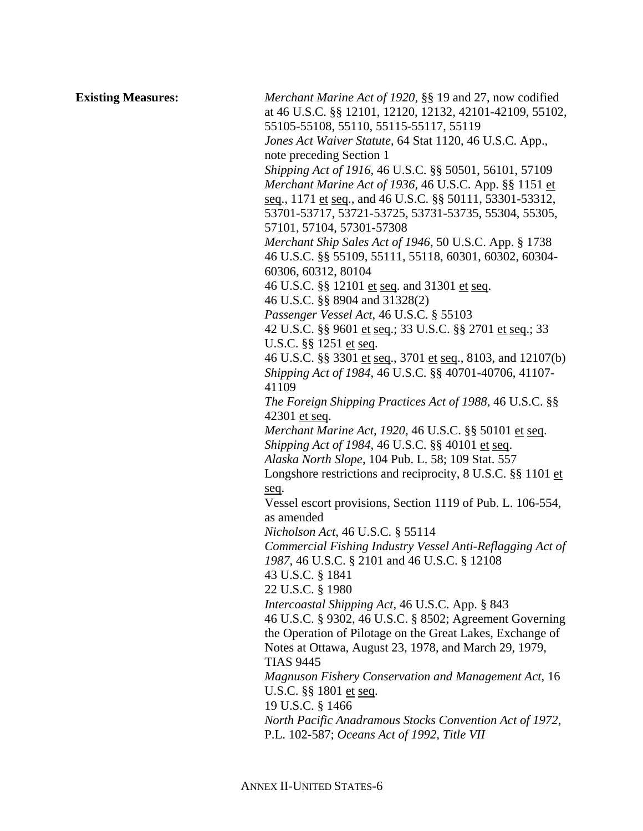**Existing Measures:** *Merchant Marine Act of 1920*, §§ 19 and 27, now codified at 46 U.S.C. §§ 12101, 12120, 12132, 42101-42109, 55102, 55105-55108, 55110, 55115-55117, 55119  *Jones Act Waiver Statute*, 64 Stat 1120, 46 U.S.C. App., note preceding Section 1  *Shipping Act of 1916*, 46 U.S.C. §§ 50501, 56101, 57109  *Merchant Marine Act of 1936*, 46 U.S.C. App. §§ 1151 et seq., 1171 et seq., and 46 U.S.C. §§ 50111, 53301-53312, 53701-53717, 53721-53725, 53731-53735, 55304, 55305, 57101, 57104, 57301-57308  *Merchant Ship Sales Act of 1946*, 50 U.S.C. App. § 1738 46 U.S.C. §§ 55109, 55111, 55118, 60301, 60302, 60304- 60306, 60312, 80104 46 U.S.C. §§ 12101 et seq. and 31301 et seq. 46 U.S.C. §§ 8904 and 31328(2)  *Passenger Vessel Act*, 46 U.S.C. § 55103 42 U.S.C. §§ 9601 et seq.; 33 U.S.C. §§ 2701 et seq.; 33 U.S.C. §§ 1251 et seq. 46 U.S.C. §§ 3301 et seq., 3701 et seq., 8103, and 12107(b)  *Shipping Act of 1984*, 46 U.S.C. §§ 40701-40706, 41107- 41109  *The Foreign Shipping Practices Act of 1988*, 46 U.S.C. §§ 42301 et seq.  *Merchant Marine Act, 1920*, 46 U.S.C. §§ 50101 et seq.  *Shipping Act of 1984*, 46 U.S.C. §§ 40101 et seq.  *Alaska North Slope*, 104 Pub. L. 58; 109 Stat. 557 Longshore restrictions and reciprocity, 8 U.S.C. §§ 1101 et seq. Vessel escort provisions, Section 1119 of Pub. L. 106-554, as amended  *Nicholson Act*, 46 U.S.C. § 55114  *Commercial Fishing Industry Vessel Anti-Reflagging Act of 1987*, 46 U.S.C. § 2101 and 46 U.S.C. § 12108 43 U.S.C. § 1841 22 U.S.C. § 1980  *Intercoastal Shipping Act*, 46 U.S.C. App. § 843 46 U.S.C. § 9302, 46 U.S.C. § 8502; Agreement Governing the Operation of Pilotage on the Great Lakes, Exchange of Notes at Ottawa, August 23, 1978, and March 29, 1979, TIAS 9445  *Magnuson Fishery Conservation and Management Act*, 16 U.S.C. §§ 1801 et seq. 19 U.S.C. § 1466  *North Pacific Anadramous Stocks Convention Act of 1972*, P.L. 102-587; *Oceans Act of 1992, Title VII*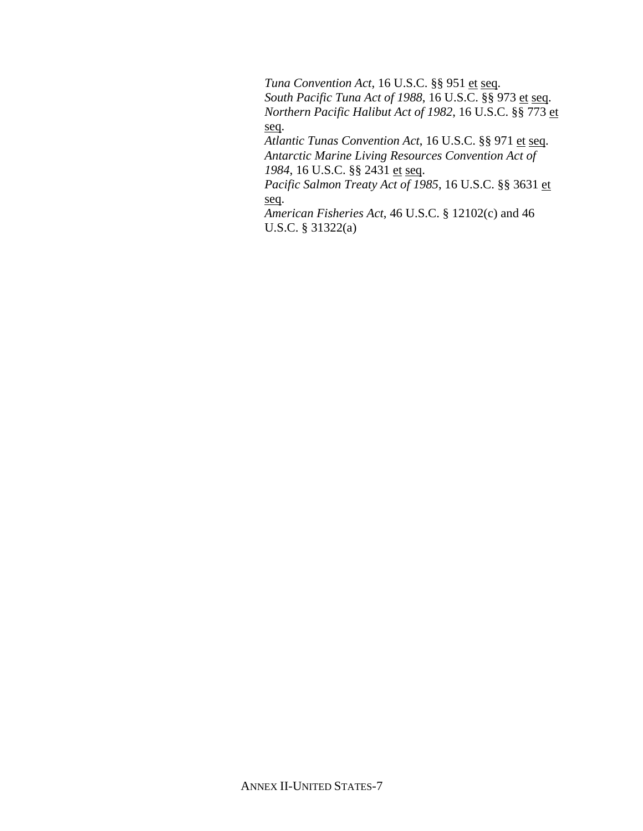*Tuna Convention Act*, 16 U.S.C. §§ 951 et seq.  *South Pacific Tuna Act of 1988*, 16 U.S.C. §§ 973 et seq.  *Northern Pacific Halibut Act of 1982*, 16 U.S.C. §§ 773 et seq.  *Atlantic Tunas Convention Act*, 16 U.S.C. §§ 971 et seq.  *Antarctic Marine Living Resources Convention Act of 1984*, 16 U.S.C. §§ 2431 et seq.  *Pacific Salmon Treaty Act of 1985*, 16 U.S.C. §§ 3631 et

seq.

 *American Fisheries Act*, 46 U.S.C. § 12102(c) and 46 U.S.C. § 31322(a)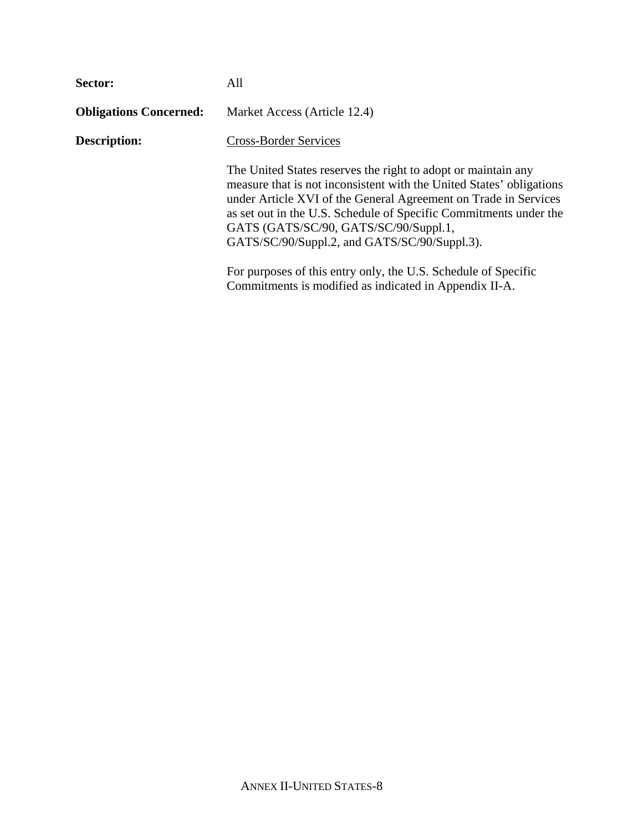| Sector:                       | All                                                                                                                                                                                                                                                                                                                                                                    |
|-------------------------------|------------------------------------------------------------------------------------------------------------------------------------------------------------------------------------------------------------------------------------------------------------------------------------------------------------------------------------------------------------------------|
| <b>Obligations Concerned:</b> | Market Access (Article 12.4)                                                                                                                                                                                                                                                                                                                                           |
| Description:                  | <b>Cross-Border Services</b>                                                                                                                                                                                                                                                                                                                                           |
|                               | The United States reserves the right to adopt or maintain any<br>measure that is not inconsistent with the United States' obligations<br>under Article XVI of the General Agreement on Trade in Services<br>as set out in the U.S. Schedule of Specific Commitments under the<br>GATS (GATS/SC/90, GATS/SC/90/Suppl.1,<br>GATS/SC/90/Suppl.2, and GATS/SC/90/Suppl.3). |
|                               | For purposes of this entry only, the U.S. Schedule of Specific<br>Commitments is modified as indicated in Appendix II-A.                                                                                                                                                                                                                                               |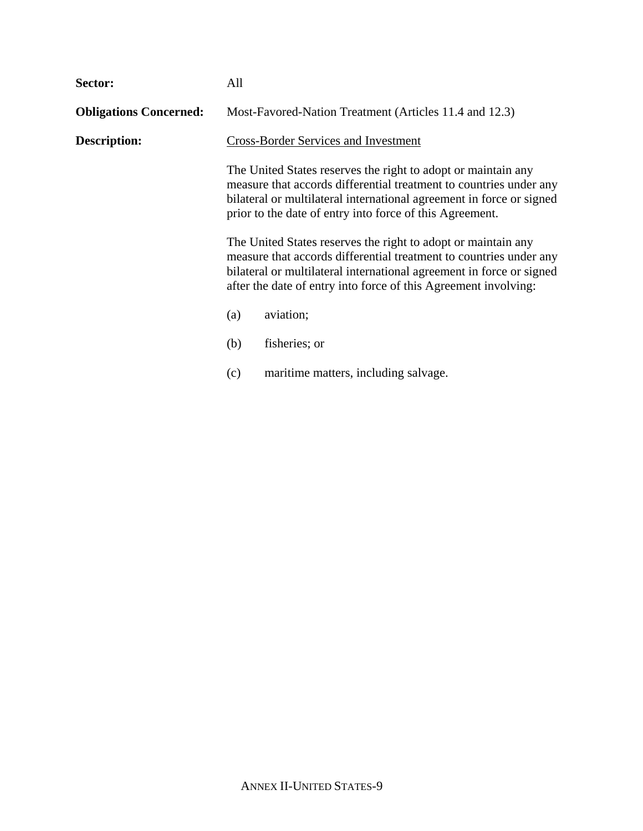| Sector:                       | All                                                                                                                                                                                                                                                                            |                                                                                                                                                                                                                                                                         |
|-------------------------------|--------------------------------------------------------------------------------------------------------------------------------------------------------------------------------------------------------------------------------------------------------------------------------|-------------------------------------------------------------------------------------------------------------------------------------------------------------------------------------------------------------------------------------------------------------------------|
| <b>Obligations Concerned:</b> |                                                                                                                                                                                                                                                                                | Most-Favored-Nation Treatment (Articles 11.4 and 12.3)                                                                                                                                                                                                                  |
| Description:                  |                                                                                                                                                                                                                                                                                | <b>Cross-Border Services and Investment</b>                                                                                                                                                                                                                             |
|                               |                                                                                                                                                                                                                                                                                | The United States reserves the right to adopt or maintain any<br>measure that accords differential treatment to countries under any<br>bilateral or multilateral international agreement in force or signed<br>prior to the date of entry into force of this Agreement. |
|                               | The United States reserves the right to adopt or maintain any<br>measure that accords differential treatment to countries under any<br>bilateral or multilateral international agreement in force or signed<br>after the date of entry into force of this Agreement involving: |                                                                                                                                                                                                                                                                         |
|                               | (a)                                                                                                                                                                                                                                                                            | aviation;                                                                                                                                                                                                                                                               |
|                               | (b)                                                                                                                                                                                                                                                                            | fisheries; or                                                                                                                                                                                                                                                           |
|                               | (c)                                                                                                                                                                                                                                                                            | maritime matters, including salvage.                                                                                                                                                                                                                                    |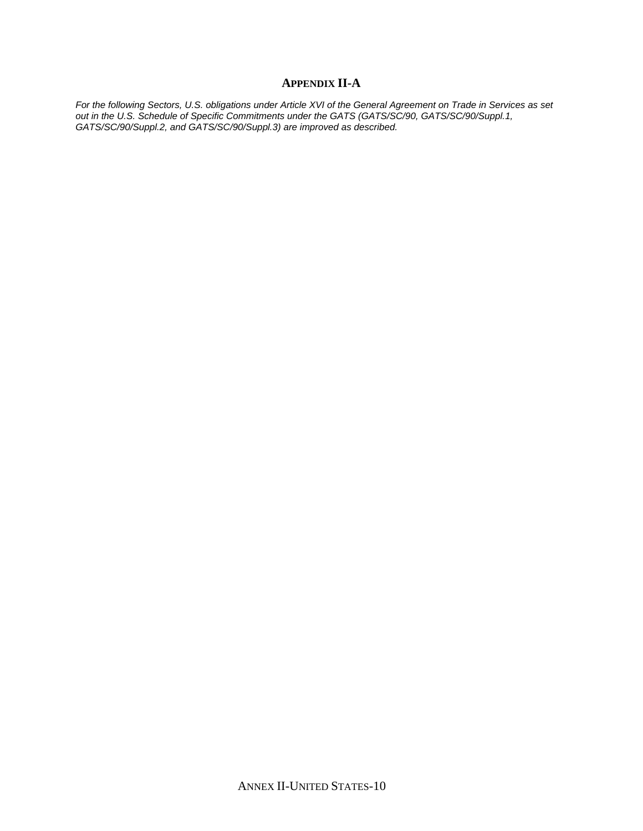## **APPENDIX II-A**

*For the following Sectors, U.S. obligations under Article XVI of the General Agreement on Trade in Services as set out in the U.S. Schedule of Specific Commitments under the GATS (GATS/SC/90, GATS/SC/90/Suppl.1, GATS/SC/90/Suppl.2, and GATS/SC/90/Suppl.3) are improved as described.*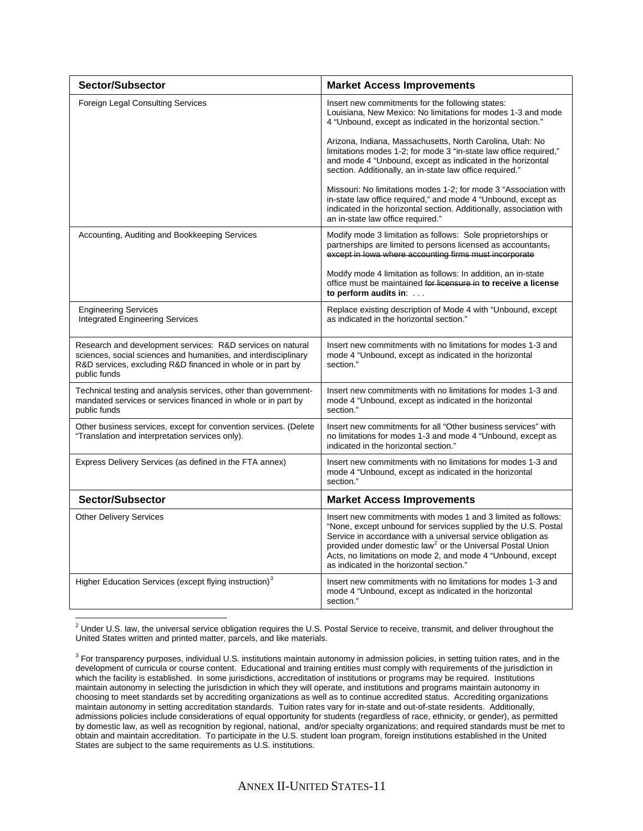| Sector/Subsector                                                                                                                                                                                             | <b>Market Access Improvements</b>                                                                                                                                                                                                                                                                                                                                                    |
|--------------------------------------------------------------------------------------------------------------------------------------------------------------------------------------------------------------|--------------------------------------------------------------------------------------------------------------------------------------------------------------------------------------------------------------------------------------------------------------------------------------------------------------------------------------------------------------------------------------|
| <b>Foreign Legal Consulting Services</b>                                                                                                                                                                     | Insert new commitments for the following states:<br>Louisiana, New Mexico: No limitations for modes 1-3 and mode<br>4 "Unbound, except as indicated in the horizontal section."                                                                                                                                                                                                      |
|                                                                                                                                                                                                              | Arizona, Indiana, Massachusetts, North Carolina, Utah: No<br>limitations modes 1-2; for mode 3 "in-state law office required,"<br>and mode 4 "Unbound, except as indicated in the horizontal<br>section. Additionally, an in-state law office required."                                                                                                                             |
|                                                                                                                                                                                                              | Missouri: No limitations modes 1-2; for mode 3 "Association with<br>in-state law office required," and mode 4 "Unbound, except as<br>indicated in the horizontal section. Additionally, association with<br>an in-state law office required."                                                                                                                                        |
| Accounting, Auditing and Bookkeeping Services                                                                                                                                                                | Modify mode 3 limitation as follows: Sole proprietorships or<br>partnerships are limited to persons licensed as accountants,<br>except in lowa where accounting firms must incorporate                                                                                                                                                                                               |
|                                                                                                                                                                                                              | Modify mode 4 limitation as follows: In addition, an in-state<br>office must be maintained for licensure in to receive a license<br>to perform audits in: $\dots$                                                                                                                                                                                                                    |
| <b>Engineering Services</b><br><b>Integrated Engineering Services</b>                                                                                                                                        | Replace existing description of Mode 4 with "Unbound, except<br>as indicated in the horizontal section."                                                                                                                                                                                                                                                                             |
| Research and development services: R&D services on natural<br>sciences, social sciences and humanities, and interdisciplinary<br>R&D services, excluding R&D financed in whole or in part by<br>public funds | Insert new commitments with no limitations for modes 1-3 and<br>mode 4 "Unbound, except as indicated in the horizontal<br>section."                                                                                                                                                                                                                                                  |
| Technical testing and analysis services, other than government-<br>mandated services or services financed in whole or in part by<br>public funds                                                             | Insert new commitments with no limitations for modes 1-3 and<br>mode 4 "Unbound, except as indicated in the horizontal<br>section."                                                                                                                                                                                                                                                  |
| Other business services, except for convention services. (Delete<br>"Translation and interpretation services only).                                                                                          | Insert new commitments for all "Other business services" with<br>no limitations for modes 1-3 and mode 4 "Unbound, except as<br>indicated in the horizontal section."                                                                                                                                                                                                                |
| Express Delivery Services (as defined in the FTA annex)                                                                                                                                                      | Insert new commitments with no limitations for modes 1-3 and<br>mode 4 "Unbound, except as indicated in the horizontal<br>section."                                                                                                                                                                                                                                                  |
| Sector/Subsector                                                                                                                                                                                             | <b>Market Access Improvements</b>                                                                                                                                                                                                                                                                                                                                                    |
| <b>Other Delivery Services</b>                                                                                                                                                                               | Insert new commitments with modes 1 and 3 limited as follows:<br>"None, except unbound for services supplied by the U.S. Postal<br>Service in accordance with a universal service obligation as<br>provided under domestic law <sup>2</sup> or the Universal Postal Union<br>Acts, no limitations on mode 2, and mode 4 "Unbound, except<br>as indicated in the horizontal section." |
| Higher Education Services (except flying instruction) <sup>3</sup>                                                                                                                                           | Insert new commitments with no limitations for modes 1-3 and<br>mode 4 "Unbound, except as indicated in the horizontal<br>section."                                                                                                                                                                                                                                                  |

<span id="page-10-0"></span> $^2$  Under U.S. law, the universal service obligation requires the U.S. Postal Service to receive, transmit, and deliver throughout the United States written and printed matter, parcels, and like materials.

<span id="page-10-1"></span><sup>&</sup>lt;sup>3</sup> For transparency purposes, individual U.S. institutions maintain autonomy in admission policies, in setting tuition rates, and in the development of curricula or course content. Educational and training entities must comply with requirements of the jurisdiction in which the facility is established. In some jurisdictions, accreditation of institutions or programs may be required. Institutions maintain autonomy in selecting the jurisdiction in which they will operate, and institutions and programs maintain autonomy in choosing to meet standards set by accrediting organizations as well as to continue accredited status. Accrediting organizations maintain autonomy in setting accreditation standards. Tuition rates vary for in-state and out-of-state residents. Additionally, admissions policies include considerations of equal opportunity for students (regardless of race, ethnicity, or gender), as permitted by domestic law, as well as recognition by regional, national, and/or specialty organizations; and required standards must be met to obtain and maintain accreditation. To participate in the U.S. student loan program, foreign institutions established in the United States are subject to the same requirements as U.S. institutions.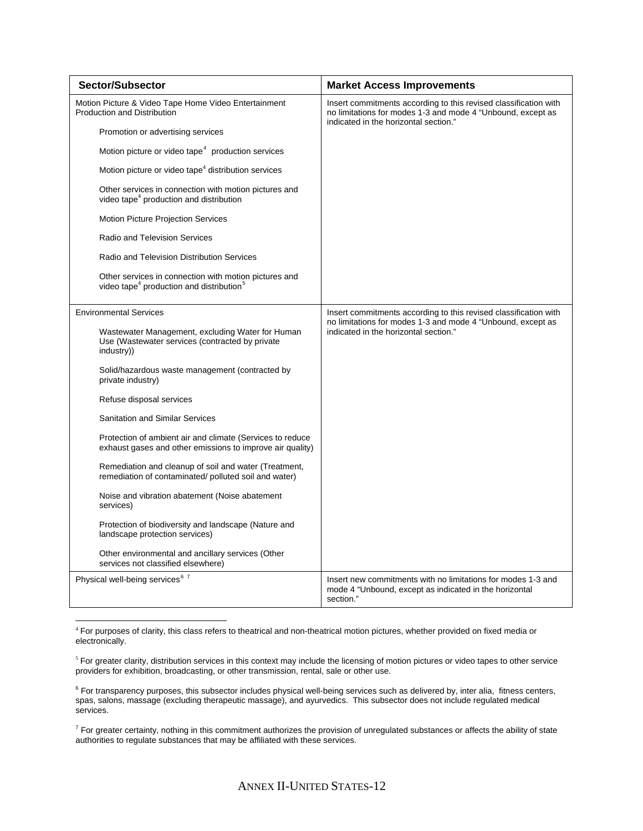| <b>Sector/Subsector</b>                                                                                                   | <b>Market Access Improvements</b>                                                                                                                                        |
|---------------------------------------------------------------------------------------------------------------------------|--------------------------------------------------------------------------------------------------------------------------------------------------------------------------|
| Motion Picture & Video Tape Home Video Entertainment<br><b>Production and Distribution</b>                                | Insert commitments according to this revised classification with<br>no limitations for modes 1-3 and mode 4 "Unbound, except as<br>indicated in the horizontal section." |
| Promotion or advertising services                                                                                         |                                                                                                                                                                          |
| Motion picture or video tape <sup>4</sup> production services                                                             |                                                                                                                                                                          |
| Motion picture or video tape <sup>4</sup> distribution services                                                           |                                                                                                                                                                          |
| Other services in connection with motion pictures and<br>video tape <sup>4</sup> production and distribution              |                                                                                                                                                                          |
| Motion Picture Projection Services                                                                                        |                                                                                                                                                                          |
| <b>Radio and Television Services</b>                                                                                      |                                                                                                                                                                          |
| Radio and Television Distribution Services                                                                                |                                                                                                                                                                          |
| Other services in connection with motion pictures and<br>video tape <sup>4</sup> production and distribution <sup>5</sup> |                                                                                                                                                                          |
| <b>Environmental Services</b>                                                                                             | Insert commitments according to this revised classification with                                                                                                         |
| Wastewater Management, excluding Water for Human<br>Use (Wastewater services (contracted by private<br>industry))         | no limitations for modes 1-3 and mode 4 "Unbound, except as<br>indicated in the horizontal section."                                                                     |
| Solid/hazardous waste management (contracted by<br>private industry)                                                      |                                                                                                                                                                          |
| Refuse disposal services                                                                                                  |                                                                                                                                                                          |
| <b>Sanitation and Similar Services</b>                                                                                    |                                                                                                                                                                          |
| Protection of ambient air and climate (Services to reduce<br>exhaust gases and other emissions to improve air quality)    |                                                                                                                                                                          |
| Remediation and cleanup of soil and water (Treatment,<br>remediation of contaminated/polluted soil and water)             |                                                                                                                                                                          |
| Noise and vibration abatement (Noise abatement<br>services)                                                               |                                                                                                                                                                          |
| Protection of biodiversity and landscape (Nature and<br>landscape protection services)                                    |                                                                                                                                                                          |
| Other environmental and ancillary services (Other<br>services not classified elsewhere)                                   |                                                                                                                                                                          |
| Physical well-being services <sup>67</sup>                                                                                | Insert new commitments with no limitations for modes 1-3 and<br>mode 4 "Unbound, except as indicated in the horizontal<br>section."                                      |

<span id="page-11-0"></span><sup>4</sup> For purposes of clarity, this class refers to theatrical and non-theatrical motion pictures, whether provided on fixed media or electronically.

 $\overline{a}$ 

<span id="page-11-2"></span><sup>6</sup> For transparency purposes, this subsector includes physical well-being services such as delivered by, inter alia, fitness centers, spas, salons, massage (excluding therapeutic massage), and ayurvedics. This subsector does not include regulated medical services.

<span id="page-11-3"></span> $^7$  For greater certainty, nothing in this commitment authorizes the provision of unregulated substances or affects the ability of state authorities to regulate substances that may be affiliated with these services.

<span id="page-11-1"></span><sup>&</sup>lt;sup>5</sup> For greater clarity, distribution services in this context may include the licensing of motion pictures or video tapes to other service providers for exhibition, broadcasting, or other transmission, rental, sale or other use.